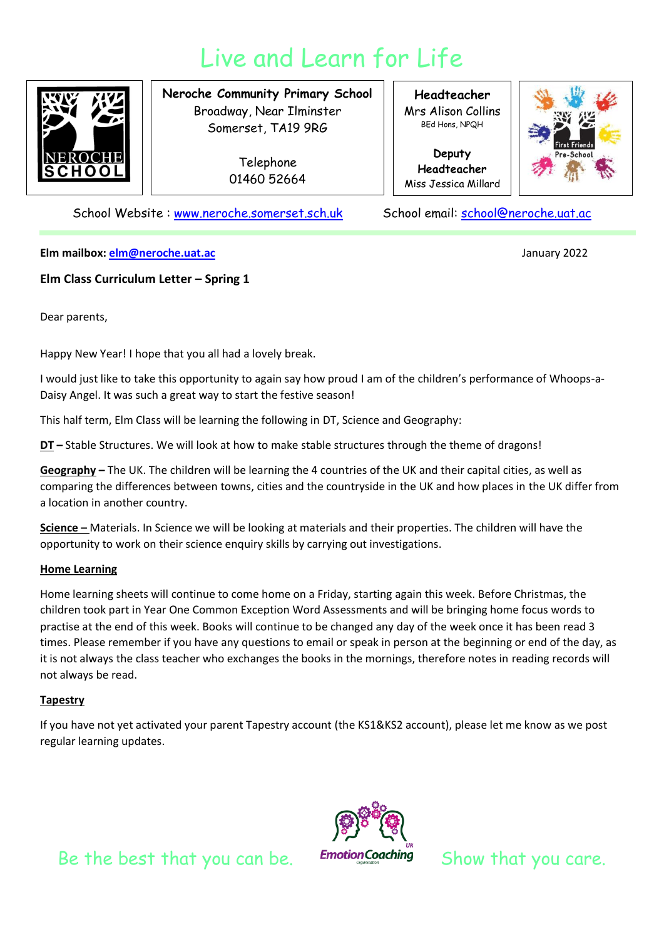# Live and Learn for Life



**Neroche Community Primary School** Broadway, Near Ilminster Somerset, TA19 9RG

> Telephone 01460 52664

**Headteacher** Mrs Alison Collins BEd Hons, NPQH

**Deputy Headteacher** Miss Jessica Millard



School Website : [www.neroche.somerset.sch.uk](http://www.neroche.somerset.sch.uk/) School email: [school@neroche.uat.ac](mailto:school@neroche.uat.ac)

**Elm mailbox[: elm@neroche.uat.ac](mailto:elm@neroche.uat.ac)** January 2022

## **Elm Class Curriculum Letter – Spring 1**

Dear parents,

Happy New Year! I hope that you all had a lovely break.

I would just like to take this opportunity to again say how proud I am of the children's performance of Whoops-a-Daisy Angel. It was such a great way to start the festive season!

This half term, Elm Class will be learning the following in DT, Science and Geography:

**DT –** Stable Structures. We will look at how to make stable structures through the theme of dragons!

**Geography –** The UK. The children will be learning the 4 countries of the UK and their capital cities, as well as comparing the differences between towns, cities and the countryside in the UK and how places in the UK differ from a location in another country.

**Science –** Materials. In Science we will be looking at materials and their properties. The children will have the opportunity to work on their science enquiry skills by carrying out investigations.

#### **Home Learning**

Home learning sheets will continue to come home on a Friday, starting again this week. Before Christmas, the children took part in Year One Common Exception Word Assessments and will be bringing home focus words to practise at the end of this week. Books will continue to be changed any day of the week once it has been read 3 times. Please remember if you have any questions to email or speak in person at the beginning or end of the day, as it is not always the class teacher who exchanges the books in the mornings, therefore notes in reading records will not always be read.

### **Tapestry**

If you have not yet activated your parent Tapestry account (the KS1&KS2 account), please let me know as we post regular learning updates.



Be the best that you can be. Emotion Coaching Show that you care.